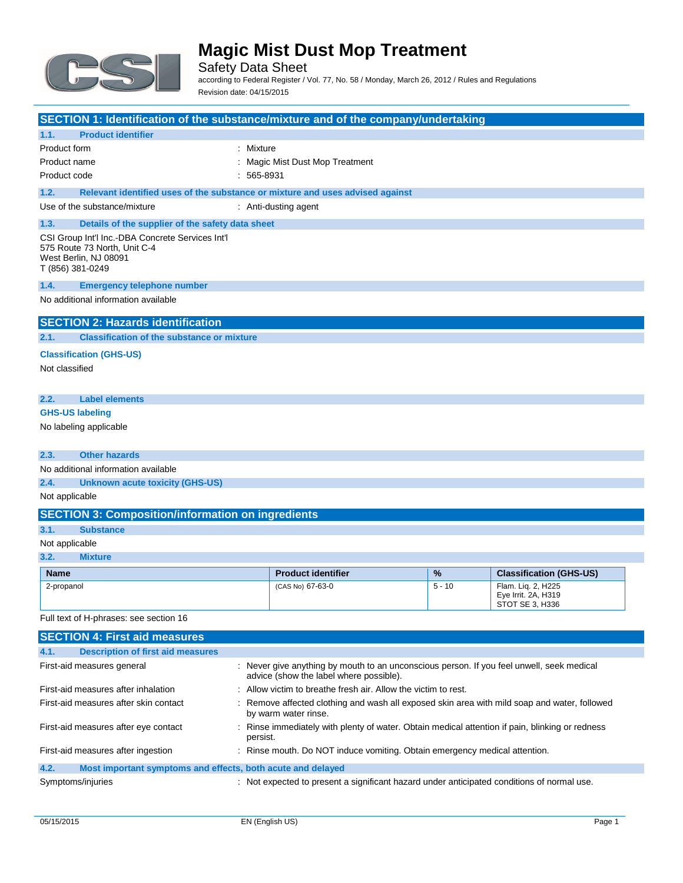

Safety Data Sheet according to Federal Register / Vol. 77, No. 58 / Monday, March 26, 2012 / Rules and Regulations Revision date: 04/15/2015

| SECTION 1: Identification of the substance/mixture and of the company/undertaking                                             |                                                                                                                                      |          |                                                              |
|-------------------------------------------------------------------------------------------------------------------------------|--------------------------------------------------------------------------------------------------------------------------------------|----------|--------------------------------------------------------------|
| <b>Product identifier</b><br>1.1.                                                                                             |                                                                                                                                      |          |                                                              |
| Product form<br>: Mixture                                                                                                     |                                                                                                                                      |          |                                                              |
| Product name                                                                                                                  | : Magic Mist Dust Mop Treatment                                                                                                      |          |                                                              |
| Product code                                                                                                                  | $: 565-8931$                                                                                                                         |          |                                                              |
| 1.2.                                                                                                                          | Relevant identified uses of the substance or mixture and uses advised against                                                        |          |                                                              |
| Use of the substance/mixture                                                                                                  | : Anti-dusting agent                                                                                                                 |          |                                                              |
| 1.3.<br>Details of the supplier of the safety data sheet                                                                      |                                                                                                                                      |          |                                                              |
| CSI Group Int'l Inc.-DBA Concrete Services Int'l<br>575 Route 73 North. Unit C-4<br>West Berlin, NJ 08091<br>T (856) 381-0249 |                                                                                                                                      |          |                                                              |
| 1.4.<br><b>Emergency telephone number</b>                                                                                     |                                                                                                                                      |          |                                                              |
| No additional information available                                                                                           |                                                                                                                                      |          |                                                              |
| <b>SECTION 2: Hazards identification</b>                                                                                      |                                                                                                                                      |          |                                                              |
| <b>Classification of the substance or mixture</b><br>2.1.                                                                     |                                                                                                                                      |          |                                                              |
| <b>Classification (GHS-US)</b>                                                                                                |                                                                                                                                      |          |                                                              |
| Not classified                                                                                                                |                                                                                                                                      |          |                                                              |
| 2.2.<br><b>Label elements</b>                                                                                                 |                                                                                                                                      |          |                                                              |
| <b>GHS-US labeling</b>                                                                                                        |                                                                                                                                      |          |                                                              |
| No labeling applicable                                                                                                        |                                                                                                                                      |          |                                                              |
| <b>Other hazards</b><br>2.3.                                                                                                  |                                                                                                                                      |          |                                                              |
| No additional information available                                                                                           |                                                                                                                                      |          |                                                              |
| 2.4.<br><b>Unknown acute toxicity (GHS-US)</b>                                                                                |                                                                                                                                      |          |                                                              |
| Not applicable                                                                                                                |                                                                                                                                      |          |                                                              |
| <b>SECTION 3: Composition/information on ingredients</b>                                                                      |                                                                                                                                      |          |                                                              |
| 3.1.<br><b>Substance</b>                                                                                                      |                                                                                                                                      |          |                                                              |
| Not applicable                                                                                                                |                                                                                                                                      |          |                                                              |
| 3.2.<br><b>Mixture</b>                                                                                                        |                                                                                                                                      |          |                                                              |
| <b>Name</b>                                                                                                                   | <b>Product identifier</b>                                                                                                            | %        | <b>Classification (GHS-US)</b>                               |
| 2-propanol                                                                                                                    | (CAS No) 67-63-0                                                                                                                     | $5 - 10$ | Flam. Liq. 2, H225<br>Eye Irrit. 2A, H319<br>STOT SE 3, H336 |
| Full text of H-phrases: see section 16                                                                                        |                                                                                                                                      |          |                                                              |
| <b>SECTION 4: First aid measures</b>                                                                                          |                                                                                                                                      |          |                                                              |
| <b>Description of first aid measures</b><br>4.1.                                                                              |                                                                                                                                      |          |                                                              |
| First-aid measures general                                                                                                    | : Never give anything by mouth to an unconscious person. If you feel unwell, seek medical<br>advice (show the label where possible). |          |                                                              |
| First-aid measures after inhalation                                                                                           | : Allow victim to breathe fresh air. Allow the victim to rest.                                                                       |          |                                                              |
| First-aid measures after skin contact                                                                                         | : Remove affected clothing and wash all exposed skin area with mild soap and water, followed<br>by warm water rinse.                 |          |                                                              |

#### **4.2. Most important symptoms and effects, both acute and delayed**

Symptoms/injuries **interpretent in the symptoms** of the symptoms/injuries interpretent a significant hazard under anticipated conditions of normal use.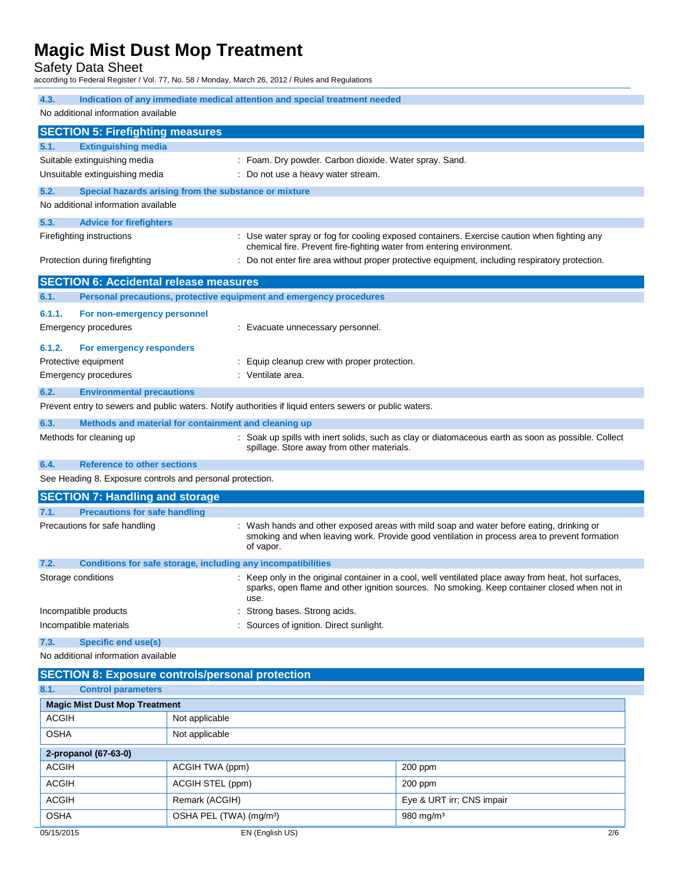Safety Data Sheet

according to Federal Register / Vol. 77, No. 58 / Monday, March 26, 2012 / Rules and Regulations

| 4.3.                                                                      | Indication of any immediate medical attention and special treatment needed                              |                                                                                                                                                                                                      |  |
|---------------------------------------------------------------------------|---------------------------------------------------------------------------------------------------------|------------------------------------------------------------------------------------------------------------------------------------------------------------------------------------------------------|--|
| No additional information available                                       |                                                                                                         |                                                                                                                                                                                                      |  |
| <b>SECTION 5: Firefighting measures</b>                                   |                                                                                                         |                                                                                                                                                                                                      |  |
| <b>Extinguishing media</b><br>5.1.                                        |                                                                                                         |                                                                                                                                                                                                      |  |
| Suitable extinguishing media                                              | : Foam. Dry powder. Carbon dioxide. Water spray. Sand.                                                  |                                                                                                                                                                                                      |  |
| Unsuitable extinguishing media                                            | : Do not use a heavy water stream.                                                                      |                                                                                                                                                                                                      |  |
| 5.2.                                                                      | Special hazards arising from the substance or mixture                                                   |                                                                                                                                                                                                      |  |
| No additional information available                                       |                                                                                                         |                                                                                                                                                                                                      |  |
| 5.3.<br><b>Advice for firefighters</b>                                    |                                                                                                         |                                                                                                                                                                                                      |  |
| Firefighting instructions                                                 |                                                                                                         | : Use water spray or fog for cooling exposed containers. Exercise caution when fighting any<br>chemical fire. Prevent fire-fighting water from entering environment.                                 |  |
| Protection during firefighting                                            |                                                                                                         | : Do not enter fire area without proper protective equipment, including respiratory protection.                                                                                                      |  |
| <b>SECTION 6: Accidental release measures</b>                             |                                                                                                         |                                                                                                                                                                                                      |  |
| 6.1.                                                                      | Personal precautions, protective equipment and emergency procedures                                     |                                                                                                                                                                                                      |  |
| 6.1.1.<br>For non-emergency personnel                                     |                                                                                                         |                                                                                                                                                                                                      |  |
| Emergency procedures                                                      | : Evacuate unnecessary personnel.                                                                       |                                                                                                                                                                                                      |  |
| 6.1.2.<br>For emergency responders                                        |                                                                                                         |                                                                                                                                                                                                      |  |
| Protective equipment                                                      | : Equip cleanup crew with proper protection.                                                            |                                                                                                                                                                                                      |  |
| Emergency procedures                                                      | : Ventilate area.                                                                                       |                                                                                                                                                                                                      |  |
| 6.2.<br><b>Environmental precautions</b>                                  |                                                                                                         |                                                                                                                                                                                                      |  |
|                                                                           | Prevent entry to sewers and public waters. Notify authorities if liquid enters sewers or public waters. |                                                                                                                                                                                                      |  |
| 6.3.                                                                      |                                                                                                         |                                                                                                                                                                                                      |  |
| Methods for cleaning up                                                   | Methods and material for containment and cleaning up                                                    | : Soak up spills with inert solids, such as clay or diatomaceous earth as soon as possible. Collect                                                                                                  |  |
|                                                                           | spillage. Store away from other materials.                                                              |                                                                                                                                                                                                      |  |
| 6.4.<br><b>Reference to other sections</b>                                |                                                                                                         |                                                                                                                                                                                                      |  |
| See Heading 8. Exposure controls and personal protection.                 |                                                                                                         |                                                                                                                                                                                                      |  |
| <b>SECTION 7: Handling and storage</b>                                    |                                                                                                         |                                                                                                                                                                                                      |  |
| <b>Precautions for safe handling</b><br>7.1.                              |                                                                                                         |                                                                                                                                                                                                      |  |
| Precautions for safe handling                                             | of vapor.                                                                                               | : Wash hands and other exposed areas with mild soap and water before eating, drinking or<br>smoking and when leaving work. Provide good ventilation in process area to prevent formation             |  |
| 7.2.                                                                      | Conditions for safe storage, including any incompatibilities                                            |                                                                                                                                                                                                      |  |
| Storage conditions                                                        | use.                                                                                                    | : Keep only in the original container in a cool, well ventilated place away from heat, hot surfaces,<br>sparks, open flame and other ignition sources. No smoking. Keep container closed when not in |  |
| Incompatible products                                                     | : Strong bases. Strong acids.                                                                           |                                                                                                                                                                                                      |  |
| Incompatible materials                                                    | : Sources of ignition. Direct sunlight.                                                                 |                                                                                                                                                                                                      |  |
| <b>Specific end use(s)</b><br>7.3.<br>No additional information available |                                                                                                         |                                                                                                                                                                                                      |  |
|                                                                           | <b>SECTION 8: Exposure controls/personal protection</b>                                                 |                                                                                                                                                                                                      |  |
| 8.1.<br><b>Control parameters</b>                                         |                                                                                                         |                                                                                                                                                                                                      |  |
| <b>Magic Mist Dust Mop Treatment</b>                                      |                                                                                                         |                                                                                                                                                                                                      |  |
| <b>ACGIH</b>                                                              | Not applicable                                                                                          |                                                                                                                                                                                                      |  |
| <b>OSHA</b>                                                               | Not applicable                                                                                          |                                                                                                                                                                                                      |  |
|                                                                           |                                                                                                         |                                                                                                                                                                                                      |  |
| 2-propanol (67-63-0)                                                      |                                                                                                         |                                                                                                                                                                                                      |  |
| <b>ACGIH</b>                                                              | ACGIH TWA (ppm)                                                                                         | 200 ppm                                                                                                                                                                                              |  |
| <b>ACGIH</b>                                                              | ACGIH STEL (ppm)                                                                                        | 200 ppm                                                                                                                                                                                              |  |
|                                                                           | Remark (ACGIH)                                                                                          | Eye & URT irr; CNS impair                                                                                                                                                                            |  |
| <b>ACGIH</b>                                                              |                                                                                                         |                                                                                                                                                                                                      |  |
| <b>OSHA</b>                                                               | OSHA PEL (TWA) (mg/m <sup>3</sup> )                                                                     | 980 mg/m <sup>3</sup>                                                                                                                                                                                |  |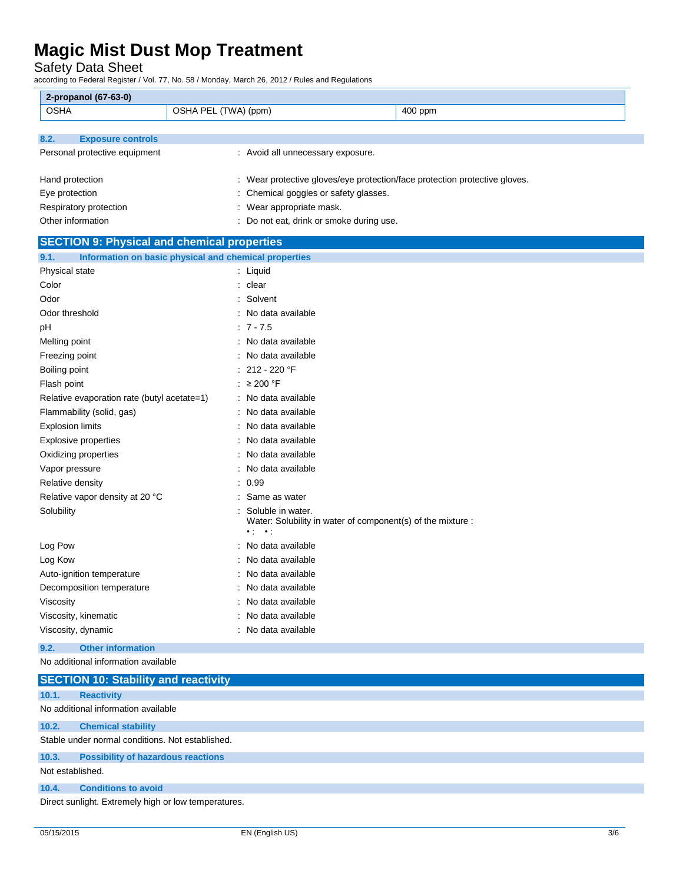Safety Data Sheet

according to Federal Register / Vol. 77, No. 58 / Monday, March 26, 2012 / Rules and Regulations

| 2-propanol (67-63-0)                                          |                                                                                                              |         |
|---------------------------------------------------------------|--------------------------------------------------------------------------------------------------------------|---------|
| <b>OSHA</b><br>OSHA PEL (TWA) (ppm)                           |                                                                                                              | 400 ppm |
|                                                               |                                                                                                              |         |
| 8.2.<br><b>Exposure controls</b>                              |                                                                                                              |         |
| Personal protective equipment                                 | : Avoid all unnecessary exposure.                                                                            |         |
|                                                               |                                                                                                              |         |
| Hand protection                                               | : Wear protective gloves/eye protection/face protection protective gloves.                                   |         |
| Eye protection                                                | : Chemical goggles or safety glasses.                                                                        |         |
| Respiratory protection                                        | : Wear appropriate mask.                                                                                     |         |
| Other information                                             | Do not eat, drink or smoke during use.                                                                       |         |
| <b>SECTION 9: Physical and chemical properties</b>            |                                                                                                              |         |
| Information on basic physical and chemical properties<br>9.1. |                                                                                                              |         |
| Physical state                                                | : Liquid                                                                                                     |         |
| Color                                                         | : clear                                                                                                      |         |
| Odor                                                          | Solvent                                                                                                      |         |
| Odor threshold                                                | No data available                                                                                            |         |
| рH                                                            | $: 7 - 7.5$                                                                                                  |         |
| Melting point                                                 | : No data available                                                                                          |         |
| Freezing point                                                | No data available                                                                                            |         |
| Boiling point                                                 | 212 - 220 °F                                                                                                 |         |
| Flash point                                                   | : $\geq 200$ °F                                                                                              |         |
| Relative evaporation rate (butyl acetate=1)                   | : No data available                                                                                          |         |
| Flammability (solid, gas)                                     | No data available                                                                                            |         |
| <b>Explosion limits</b>                                       | No data available                                                                                            |         |
| <b>Explosive properties</b>                                   | No data available                                                                                            |         |
| Oxidizing properties                                          | No data available                                                                                            |         |
| Vapor pressure                                                | No data available                                                                                            |         |
| Relative density                                              | : 0.99                                                                                                       |         |
| Relative vapor density at 20 °C                               | Same as water                                                                                                |         |
| Solubility                                                    | Soluble in water.<br>Water: Solubility in water of component(s) of the mixture :<br>$\cdot$ :<br>$\bullet$ : |         |
| Log Pow                                                       | No data available                                                                                            |         |
| Log Kow                                                       | No data available                                                                                            |         |
| Auto-ignition temperature                                     | No data available                                                                                            |         |
| Decomposition temperature                                     | No data available                                                                                            |         |
| Viscosity                                                     | No data available                                                                                            |         |
| Viscosity, kinematic                                          | No data available                                                                                            |         |
| Viscosity, dynamic                                            | : No data available                                                                                          |         |

#### **9.2. Other information**

No additional information available

|                  | <b>SECTION 10: Stability and reactivity</b>          |
|------------------|------------------------------------------------------|
| 10.1.            | <b>Reactivity</b>                                    |
|                  | No additional information available                  |
| 10.2.            | <b>Chemical stability</b>                            |
|                  | Stable under normal conditions. Not established.     |
| 10.3.            | <b>Possibility of hazardous reactions</b>            |
| Not established. |                                                      |
| 10.4.            | <b>Conditions to avoid</b>                           |
|                  | Direct sunlight. Extremely high or low temperatures. |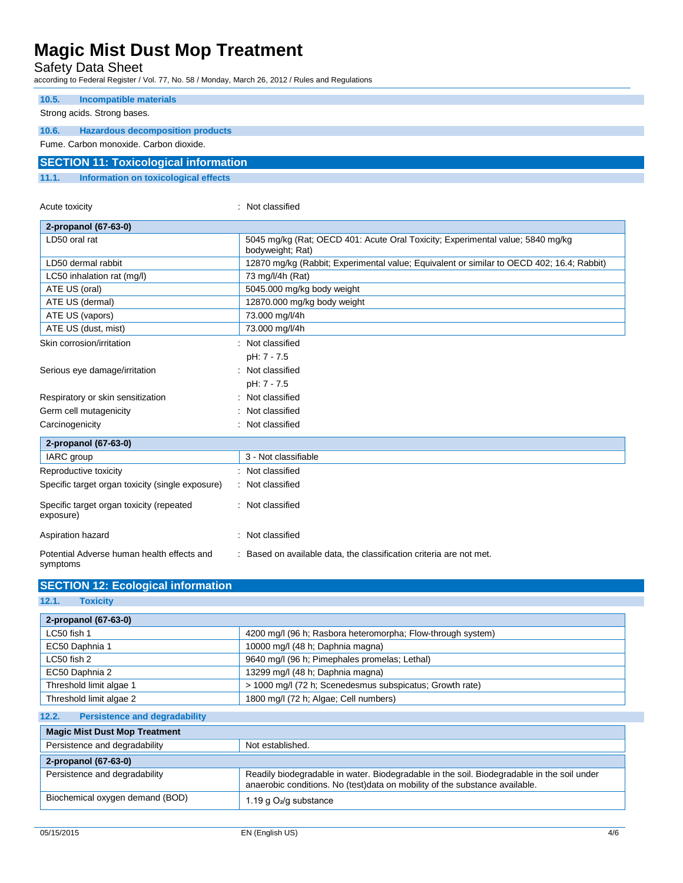Safety Data Sheet

according to Federal Register / Vol. 77, No. 58 / Monday, March 26, 2012 / Rules and Regulations

| 10.5. | Incompatible materials                       |
|-------|----------------------------------------------|
|       |                                              |
|       | Strong acids. Strong bases.                  |
|       |                                              |
| 10.6. | <b>Hazardous decomposition products</b>      |
|       | Fume, Carbon monoxide, Carbon dioxide,       |
|       |                                              |
|       | <b>SECTION 11: Toxicological information</b> |
|       |                                              |
| AA    | Information on textenionisal effects         |

### **11.1. Information on toxicological effects**

Acute toxicity in the contract of the classified in the classified in the classified in the classified in the classified in the classified in the classified in the contract of the contract of the contract of the contract o

| 2-propanol (67-63-0)                                   |                                                                                                    |
|--------------------------------------------------------|----------------------------------------------------------------------------------------------------|
| LD50 oral rat                                          | 5045 mg/kg (Rat; OECD 401: Acute Oral Toxicity; Experimental value; 5840 mg/kg<br>bodyweight; Rat) |
| LD50 dermal rabbit                                     | 12870 mg/kg (Rabbit; Experimental value; Equivalent or similar to OECD 402; 16.4; Rabbit)          |
| LC50 inhalation rat (mg/l)                             | 73 mg/l/4h (Rat)                                                                                   |
| ATE US (oral)                                          | 5045.000 mg/kg body weight                                                                         |
| ATE US (dermal)                                        | 12870.000 mg/kg body weight                                                                        |
| ATE US (vapors)                                        | 73.000 mg/l/4h                                                                                     |
| ATE US (dust, mist)                                    | 73.000 mg/l/4h                                                                                     |
| Skin corrosion/irritation                              | : Not classified                                                                                   |
|                                                        | pH: 7 - 7.5                                                                                        |
| Serious eye damage/irritation                          | Not classified                                                                                     |
|                                                        | pH: 7 - 7.5                                                                                        |
| Respiratory or skin sensitization                      | Not classified                                                                                     |
| Germ cell mutagenicity                                 | Not classified                                                                                     |
| Carcinogenicity                                        | Not classified                                                                                     |
| 2-propanol (67-63-0)                                   |                                                                                                    |
| IARC group                                             | 3 - Not classifiable                                                                               |
| Reproductive toxicity                                  | Not classified                                                                                     |
| Specific target organ toxicity (single exposure)       | : Not classified                                                                                   |
| Specific target organ toxicity (repeated<br>exposure)  | : Not classified                                                                                   |
| Aspiration hazard                                      | : Not classified                                                                                   |
| Potential Adverse human health effects and<br>symptoms | : Based on available data, the classification criteria are not met.                                |

| <b>SECTION 12: Ecological information</b> |  |
|-------------------------------------------|--|
|-------------------------------------------|--|

**12.1. Toxicity**

| 2-propanol (67-63-0)                               |                                                                                                                                                                           |  |
|----------------------------------------------------|---------------------------------------------------------------------------------------------------------------------------------------------------------------------------|--|
| LC50 fish 1                                        | 4200 mg/l (96 h; Rasbora heteromorpha; Flow-through system)                                                                                                               |  |
| EC50 Daphnia 1<br>10000 mg/l (48 h; Daphnia magna) |                                                                                                                                                                           |  |
| $LC50$ fish 2                                      | 9640 mg/l (96 h; Pimephales promelas; Lethal)                                                                                                                             |  |
| EC50 Daphnia 2                                     | 13299 mg/l (48 h; Daphnia magna)                                                                                                                                          |  |
| Threshold limit algae 1                            | > 1000 mg/l (72 h; Scenedesmus subspicatus; Growth rate)                                                                                                                  |  |
| Threshold limit algae 2                            | 1800 mg/l (72 h; Algae; Cell numbers)                                                                                                                                     |  |
| 12.2.<br><b>Persistence and degradability</b>      |                                                                                                                                                                           |  |
| <b>Magic Mist Dust Mop Treatment</b>               |                                                                                                                                                                           |  |
| Persistence and degradability<br>Not established.  |                                                                                                                                                                           |  |
| 2-propanol (67-63-0)                               |                                                                                                                                                                           |  |
| Persistence and degradability                      | Readily biodegradable in water. Biodegradable in the soil. Biodegradable in the soil under<br>anaerobic conditions. No (test)data on mobility of the substance available. |  |
| Biochemical oxygen demand (BOD)                    | 1.19 g $O_2$ /g substance                                                                                                                                                 |  |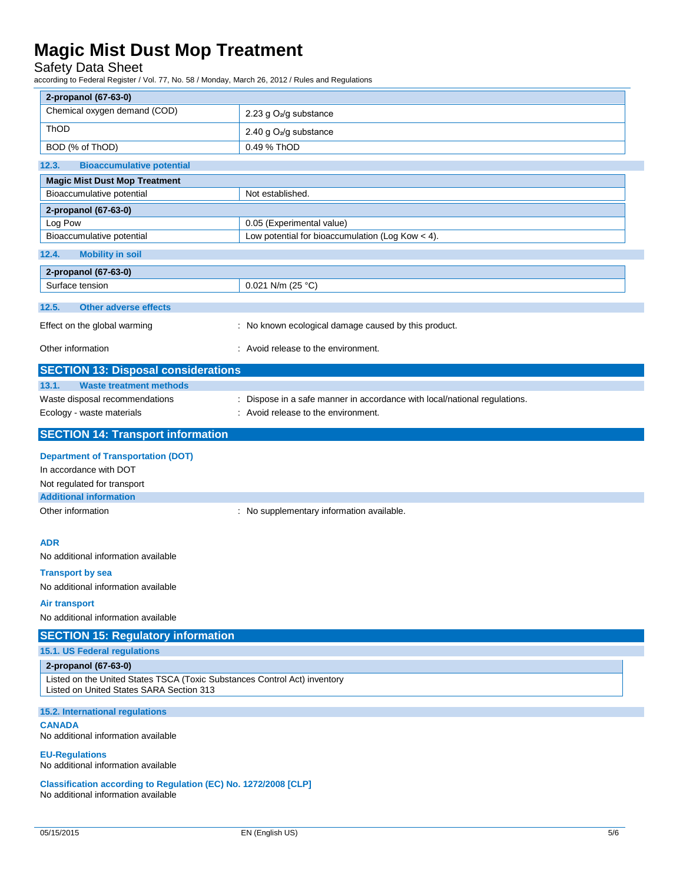### Safety Data Sheet

according to Federal Register / Vol. 77, No. 58 / Monday, March 26, 2012 / Rules and Regulations

| 2-propanol (67-63-0)<br>Chemical oxygen demand (COD)<br>2.23 g O <sub>2</sub> /g substance<br>ThOD<br>2.40 g O <sub>2</sub> /g substance<br>0.49 % ThOD<br>BOD (% of ThOD)<br>12.3.<br><b>Bioaccumulative potential</b><br><b>Magic Mist Dust Mop Treatment</b><br>Bioaccumulative potential<br>Not established.<br>2-propanol (67-63-0)<br>Log Pow<br>0.05 (Experimental value)<br>Bioaccumulative potential<br>Low potential for bioaccumulation (Log Kow < 4).<br>12.4.<br><b>Mobility in soil</b><br>2-propanol (67-63-0)<br>0.021 N/m (25 °C)<br>Surface tension<br><b>Other adverse effects</b><br>12.5.<br>: No known ecological damage caused by this product.<br>Effect on the global warming<br>Other information<br>: Avoid release to the environment.<br><b>SECTION 13: Disposal considerations</b><br>13.1.<br><b>Waste treatment methods</b><br>Waste disposal recommendations<br>: Dispose in a safe manner in accordance with local/national regulations.<br>: Avoid release to the environment.<br>Ecology - waste materials<br><b>SECTION 14: Transport information</b><br><b>Department of Transportation (DOT)</b><br>In accordance with DOT<br>Not regulated for transport<br><b>Additional information</b><br>Other information<br>: No supplementary information available.<br><b>ADR</b><br>No additional information available<br><b>Transport by sea</b><br>No additional information available<br>Air transport<br>No additional information available<br><b>SECTION 15: Regulatory information</b><br>15.1. US Federal regulations<br>2-propanol (67-63-0)<br>Listed on the United States TSCA (Toxic Substances Control Act) inventory<br>Listed on United States SARA Section 313<br>15.2. International regulations<br><b>CANADA</b><br>No additional information available<br><b>EU-Regulations</b><br>No additional information available<br>Classification according to Regulation (EC) No. 1272/2008 [CLP] |                                     |  |
|------------------------------------------------------------------------------------------------------------------------------------------------------------------------------------------------------------------------------------------------------------------------------------------------------------------------------------------------------------------------------------------------------------------------------------------------------------------------------------------------------------------------------------------------------------------------------------------------------------------------------------------------------------------------------------------------------------------------------------------------------------------------------------------------------------------------------------------------------------------------------------------------------------------------------------------------------------------------------------------------------------------------------------------------------------------------------------------------------------------------------------------------------------------------------------------------------------------------------------------------------------------------------------------------------------------------------------------------------------------------------------------------------------------------------------------------------------------------------------------------------------------------------------------------------------------------------------------------------------------------------------------------------------------------------------------------------------------------------------------------------------------------------------------------------------------------------------------------------------------------------------------------------------------------------------------------|-------------------------------------|--|
|                                                                                                                                                                                                                                                                                                                                                                                                                                                                                                                                                                                                                                                                                                                                                                                                                                                                                                                                                                                                                                                                                                                                                                                                                                                                                                                                                                                                                                                                                                                                                                                                                                                                                                                                                                                                                                                                                                                                                |                                     |  |
|                                                                                                                                                                                                                                                                                                                                                                                                                                                                                                                                                                                                                                                                                                                                                                                                                                                                                                                                                                                                                                                                                                                                                                                                                                                                                                                                                                                                                                                                                                                                                                                                                                                                                                                                                                                                                                                                                                                                                |                                     |  |
|                                                                                                                                                                                                                                                                                                                                                                                                                                                                                                                                                                                                                                                                                                                                                                                                                                                                                                                                                                                                                                                                                                                                                                                                                                                                                                                                                                                                                                                                                                                                                                                                                                                                                                                                                                                                                                                                                                                                                |                                     |  |
|                                                                                                                                                                                                                                                                                                                                                                                                                                                                                                                                                                                                                                                                                                                                                                                                                                                                                                                                                                                                                                                                                                                                                                                                                                                                                                                                                                                                                                                                                                                                                                                                                                                                                                                                                                                                                                                                                                                                                |                                     |  |
|                                                                                                                                                                                                                                                                                                                                                                                                                                                                                                                                                                                                                                                                                                                                                                                                                                                                                                                                                                                                                                                                                                                                                                                                                                                                                                                                                                                                                                                                                                                                                                                                                                                                                                                                                                                                                                                                                                                                                |                                     |  |
|                                                                                                                                                                                                                                                                                                                                                                                                                                                                                                                                                                                                                                                                                                                                                                                                                                                                                                                                                                                                                                                                                                                                                                                                                                                                                                                                                                                                                                                                                                                                                                                                                                                                                                                                                                                                                                                                                                                                                |                                     |  |
|                                                                                                                                                                                                                                                                                                                                                                                                                                                                                                                                                                                                                                                                                                                                                                                                                                                                                                                                                                                                                                                                                                                                                                                                                                                                                                                                                                                                                                                                                                                                                                                                                                                                                                                                                                                                                                                                                                                                                |                                     |  |
|                                                                                                                                                                                                                                                                                                                                                                                                                                                                                                                                                                                                                                                                                                                                                                                                                                                                                                                                                                                                                                                                                                                                                                                                                                                                                                                                                                                                                                                                                                                                                                                                                                                                                                                                                                                                                                                                                                                                                |                                     |  |
|                                                                                                                                                                                                                                                                                                                                                                                                                                                                                                                                                                                                                                                                                                                                                                                                                                                                                                                                                                                                                                                                                                                                                                                                                                                                                                                                                                                                                                                                                                                                                                                                                                                                                                                                                                                                                                                                                                                                                |                                     |  |
|                                                                                                                                                                                                                                                                                                                                                                                                                                                                                                                                                                                                                                                                                                                                                                                                                                                                                                                                                                                                                                                                                                                                                                                                                                                                                                                                                                                                                                                                                                                                                                                                                                                                                                                                                                                                                                                                                                                                                |                                     |  |
|                                                                                                                                                                                                                                                                                                                                                                                                                                                                                                                                                                                                                                                                                                                                                                                                                                                                                                                                                                                                                                                                                                                                                                                                                                                                                                                                                                                                                                                                                                                                                                                                                                                                                                                                                                                                                                                                                                                                                |                                     |  |
|                                                                                                                                                                                                                                                                                                                                                                                                                                                                                                                                                                                                                                                                                                                                                                                                                                                                                                                                                                                                                                                                                                                                                                                                                                                                                                                                                                                                                                                                                                                                                                                                                                                                                                                                                                                                                                                                                                                                                |                                     |  |
|                                                                                                                                                                                                                                                                                                                                                                                                                                                                                                                                                                                                                                                                                                                                                                                                                                                                                                                                                                                                                                                                                                                                                                                                                                                                                                                                                                                                                                                                                                                                                                                                                                                                                                                                                                                                                                                                                                                                                |                                     |  |
|                                                                                                                                                                                                                                                                                                                                                                                                                                                                                                                                                                                                                                                                                                                                                                                                                                                                                                                                                                                                                                                                                                                                                                                                                                                                                                                                                                                                                                                                                                                                                                                                                                                                                                                                                                                                                                                                                                                                                |                                     |  |
|                                                                                                                                                                                                                                                                                                                                                                                                                                                                                                                                                                                                                                                                                                                                                                                                                                                                                                                                                                                                                                                                                                                                                                                                                                                                                                                                                                                                                                                                                                                                                                                                                                                                                                                                                                                                                                                                                                                                                |                                     |  |
|                                                                                                                                                                                                                                                                                                                                                                                                                                                                                                                                                                                                                                                                                                                                                                                                                                                                                                                                                                                                                                                                                                                                                                                                                                                                                                                                                                                                                                                                                                                                                                                                                                                                                                                                                                                                                                                                                                                                                |                                     |  |
|                                                                                                                                                                                                                                                                                                                                                                                                                                                                                                                                                                                                                                                                                                                                                                                                                                                                                                                                                                                                                                                                                                                                                                                                                                                                                                                                                                                                                                                                                                                                                                                                                                                                                                                                                                                                                                                                                                                                                |                                     |  |
|                                                                                                                                                                                                                                                                                                                                                                                                                                                                                                                                                                                                                                                                                                                                                                                                                                                                                                                                                                                                                                                                                                                                                                                                                                                                                                                                                                                                                                                                                                                                                                                                                                                                                                                                                                                                                                                                                                                                                |                                     |  |
|                                                                                                                                                                                                                                                                                                                                                                                                                                                                                                                                                                                                                                                                                                                                                                                                                                                                                                                                                                                                                                                                                                                                                                                                                                                                                                                                                                                                                                                                                                                                                                                                                                                                                                                                                                                                                                                                                                                                                |                                     |  |
|                                                                                                                                                                                                                                                                                                                                                                                                                                                                                                                                                                                                                                                                                                                                                                                                                                                                                                                                                                                                                                                                                                                                                                                                                                                                                                                                                                                                                                                                                                                                                                                                                                                                                                                                                                                                                                                                                                                                                |                                     |  |
|                                                                                                                                                                                                                                                                                                                                                                                                                                                                                                                                                                                                                                                                                                                                                                                                                                                                                                                                                                                                                                                                                                                                                                                                                                                                                                                                                                                                                                                                                                                                                                                                                                                                                                                                                                                                                                                                                                                                                |                                     |  |
|                                                                                                                                                                                                                                                                                                                                                                                                                                                                                                                                                                                                                                                                                                                                                                                                                                                                                                                                                                                                                                                                                                                                                                                                                                                                                                                                                                                                                                                                                                                                                                                                                                                                                                                                                                                                                                                                                                                                                |                                     |  |
|                                                                                                                                                                                                                                                                                                                                                                                                                                                                                                                                                                                                                                                                                                                                                                                                                                                                                                                                                                                                                                                                                                                                                                                                                                                                                                                                                                                                                                                                                                                                                                                                                                                                                                                                                                                                                                                                                                                                                |                                     |  |
|                                                                                                                                                                                                                                                                                                                                                                                                                                                                                                                                                                                                                                                                                                                                                                                                                                                                                                                                                                                                                                                                                                                                                                                                                                                                                                                                                                                                                                                                                                                                                                                                                                                                                                                                                                                                                                                                                                                                                |                                     |  |
|                                                                                                                                                                                                                                                                                                                                                                                                                                                                                                                                                                                                                                                                                                                                                                                                                                                                                                                                                                                                                                                                                                                                                                                                                                                                                                                                                                                                                                                                                                                                                                                                                                                                                                                                                                                                                                                                                                                                                |                                     |  |
|                                                                                                                                                                                                                                                                                                                                                                                                                                                                                                                                                                                                                                                                                                                                                                                                                                                                                                                                                                                                                                                                                                                                                                                                                                                                                                                                                                                                                                                                                                                                                                                                                                                                                                                                                                                                                                                                                                                                                |                                     |  |
|                                                                                                                                                                                                                                                                                                                                                                                                                                                                                                                                                                                                                                                                                                                                                                                                                                                                                                                                                                                                                                                                                                                                                                                                                                                                                                                                                                                                                                                                                                                                                                                                                                                                                                                                                                                                                                                                                                                                                |                                     |  |
|                                                                                                                                                                                                                                                                                                                                                                                                                                                                                                                                                                                                                                                                                                                                                                                                                                                                                                                                                                                                                                                                                                                                                                                                                                                                                                                                                                                                                                                                                                                                                                                                                                                                                                                                                                                                                                                                                                                                                |                                     |  |
|                                                                                                                                                                                                                                                                                                                                                                                                                                                                                                                                                                                                                                                                                                                                                                                                                                                                                                                                                                                                                                                                                                                                                                                                                                                                                                                                                                                                                                                                                                                                                                                                                                                                                                                                                                                                                                                                                                                                                |                                     |  |
|                                                                                                                                                                                                                                                                                                                                                                                                                                                                                                                                                                                                                                                                                                                                                                                                                                                                                                                                                                                                                                                                                                                                                                                                                                                                                                                                                                                                                                                                                                                                                                                                                                                                                                                                                                                                                                                                                                                                                |                                     |  |
|                                                                                                                                                                                                                                                                                                                                                                                                                                                                                                                                                                                                                                                                                                                                                                                                                                                                                                                                                                                                                                                                                                                                                                                                                                                                                                                                                                                                                                                                                                                                                                                                                                                                                                                                                                                                                                                                                                                                                |                                     |  |
|                                                                                                                                                                                                                                                                                                                                                                                                                                                                                                                                                                                                                                                                                                                                                                                                                                                                                                                                                                                                                                                                                                                                                                                                                                                                                                                                                                                                                                                                                                                                                                                                                                                                                                                                                                                                                                                                                                                                                |                                     |  |
|                                                                                                                                                                                                                                                                                                                                                                                                                                                                                                                                                                                                                                                                                                                                                                                                                                                                                                                                                                                                                                                                                                                                                                                                                                                                                                                                                                                                                                                                                                                                                                                                                                                                                                                                                                                                                                                                                                                                                |                                     |  |
|                                                                                                                                                                                                                                                                                                                                                                                                                                                                                                                                                                                                                                                                                                                                                                                                                                                                                                                                                                                                                                                                                                                                                                                                                                                                                                                                                                                                                                                                                                                                                                                                                                                                                                                                                                                                                                                                                                                                                |                                     |  |
|                                                                                                                                                                                                                                                                                                                                                                                                                                                                                                                                                                                                                                                                                                                                                                                                                                                                                                                                                                                                                                                                                                                                                                                                                                                                                                                                                                                                                                                                                                                                                                                                                                                                                                                                                                                                                                                                                                                                                |                                     |  |
|                                                                                                                                                                                                                                                                                                                                                                                                                                                                                                                                                                                                                                                                                                                                                                                                                                                                                                                                                                                                                                                                                                                                                                                                                                                                                                                                                                                                                                                                                                                                                                                                                                                                                                                                                                                                                                                                                                                                                |                                     |  |
|                                                                                                                                                                                                                                                                                                                                                                                                                                                                                                                                                                                                                                                                                                                                                                                                                                                                                                                                                                                                                                                                                                                                                                                                                                                                                                                                                                                                                                                                                                                                                                                                                                                                                                                                                                                                                                                                                                                                                |                                     |  |
|                                                                                                                                                                                                                                                                                                                                                                                                                                                                                                                                                                                                                                                                                                                                                                                                                                                                                                                                                                                                                                                                                                                                                                                                                                                                                                                                                                                                                                                                                                                                                                                                                                                                                                                                                                                                                                                                                                                                                |                                     |  |
|                                                                                                                                                                                                                                                                                                                                                                                                                                                                                                                                                                                                                                                                                                                                                                                                                                                                                                                                                                                                                                                                                                                                                                                                                                                                                                                                                                                                                                                                                                                                                                                                                                                                                                                                                                                                                                                                                                                                                | No additional information available |  |